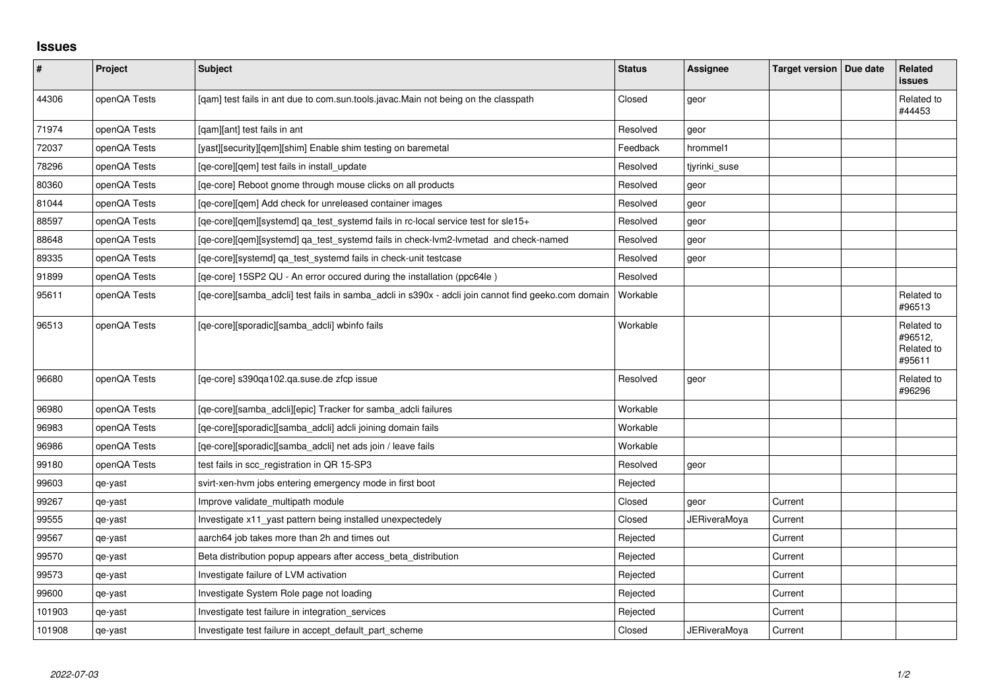## **Issues**

| $\pmb{\#}$ | Project      | Subject                                                                                             | <b>Status</b> | <b>Assignee</b>     | Target version   Due date | <b>Related</b><br><b>issues</b>               |
|------------|--------------|-----------------------------------------------------------------------------------------------------|---------------|---------------------|---------------------------|-----------------------------------------------|
| 44306      | openQA Tests | [qam] test fails in ant due to com.sun.tools.javac.Main not being on the classpath                  | Closed        | geor                |                           | Related to<br>#44453                          |
| 71974      | openQA Tests | [gam][ant] test fails in ant                                                                        | Resolved      | geor                |                           |                                               |
| 72037      | openQA Tests | [yast][security][gem][shim] Enable shim testing on baremetal                                        | Feedback      | hrommel1            |                           |                                               |
| 78296      | openQA Tests | [ge-core][gem] test fails in install update                                                         | Resolved      | tiyrinki suse       |                           |                                               |
| 80360      | openQA Tests | [ge-core] Reboot gnome through mouse clicks on all products                                         | Resolved      | geor                |                           |                                               |
| 81044      | openQA Tests | [qe-core][qem] Add check for unreleased container images                                            | Resolved      | geor                |                           |                                               |
| 88597      | openQA Tests | [qe-core][qem][systemd] qa_test_systemd fails in rc-local service test for sle15+                   | Resolved      | geor                |                           |                                               |
| 88648      | openQA Tests | [qe-core][qem][systemd] qa_test_systemd fails in check-lvm2-lvmetad and check-named                 | Resolved      | geor                |                           |                                               |
| 89335      | openQA Tests | [ge-core][systemd] ga test systemd fails in check-unit testcase                                     | Resolved      | geor                |                           |                                               |
| 91899      | openQA Tests | [qe-core] 15SP2 QU - An error occured during the installation (ppc64le)                             | Resolved      |                     |                           |                                               |
| 95611      | openQA Tests | [qe-core][samba_adcli] test fails in samba_adcli in s390x - adcli join cannot find geeko.com domain | Workable      |                     |                           | Related to<br>#96513                          |
| 96513      | openQA Tests | [qe-core][sporadic][samba_adcli] wbinfo fails                                                       | Workable      |                     |                           | Related to<br>#96512,<br>Related to<br>#95611 |
| 96680      | openQA Tests | [qe-core] s390qa102.qa.suse.de zfcp issue                                                           | Resolved      | geor                |                           | Related to<br>#96296                          |
| 96980      | openQA Tests | [ge-core][samba_adcli][epic] Tracker for samba_adcli failures                                       | Workable      |                     |                           |                                               |
| 96983      | openQA Tests | [ge-core][sporadic][samba adcli] adcli joining domain fails                                         | Workable      |                     |                           |                                               |
| 96986      | openQA Tests | [qe-core][sporadic][samba_adcli] net ads join / leave fails                                         | Workable      |                     |                           |                                               |
| 99180      | openQA Tests | test fails in scc_registration in QR 15-SP3                                                         | Resolved      | geor                |                           |                                               |
| 99603      | qe-yast      | svirt-xen-hvm jobs entering emergency mode in first boot                                            | Rejected      |                     |                           |                                               |
| 99267      | qe-yast      | Improve validate_multipath module                                                                   | Closed        | geor                | Current                   |                                               |
| 99555      | qe-yast      | Investigate x11 yast pattern being installed unexpectedely                                          | Closed        | <b>JERiveraMoya</b> | Current                   |                                               |
| 99567      | qe-yast      | aarch64 job takes more than 2h and times out                                                        | Rejected      |                     | Current                   |                                               |
| 99570      | qe-yast      | Beta distribution popup appears after access_beta_distribution                                      | Rejected      |                     | Current                   |                                               |
| 99573      | qe-yast      | Investigate failure of LVM activation                                                               | Rejected      |                     | Current                   |                                               |
| 99600      | qe-yast      | Investigate System Role page not loading                                                            | Rejected      |                     | Current                   |                                               |
| 101903     | qe-yast      | Investigate test failure in integration_services                                                    | Rejected      |                     | Current                   |                                               |
| 101908     | qe-yast      | Investigate test failure in accept default part scheme                                              | Closed        | <b>JERiveraMoya</b> | Current                   |                                               |